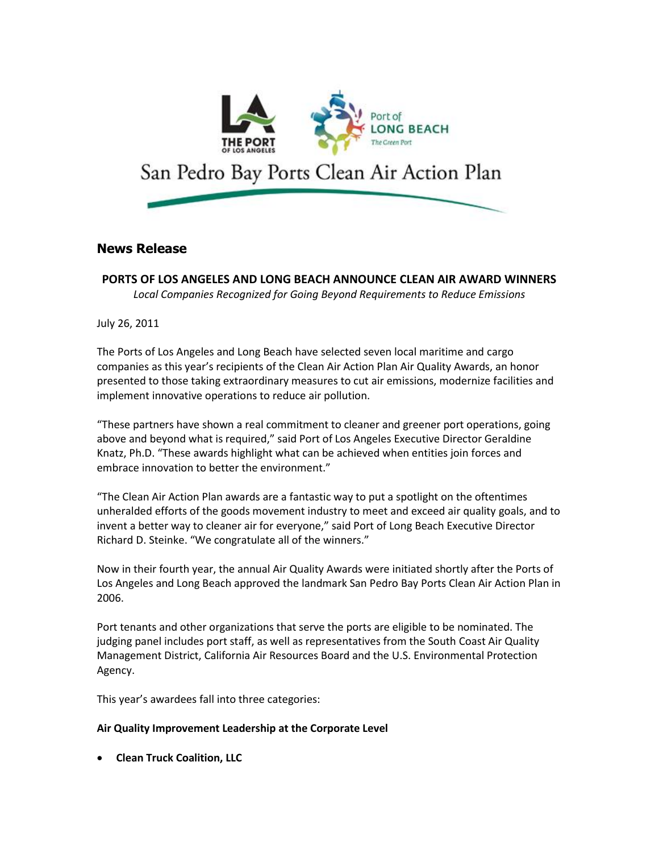

# **News Release**

**PORTS OF LOS ANGELES AND LONG BEACH ANNOUNCE CLEAN AIR AWARD WINNERS** *Local Companies Recognized for Going Beyond Requirements to Reduce Emissions*

July 26, 2011

The Ports of Los Angeles and Long Beach have selected seven local maritime and cargo companies as this year's recipients of the Clean Air Action Plan Air Quality Awards, an honor presented to those taking extraordinary measures to cut air emissions, modernize facilities and implement innovative operations to reduce air pollution.

"These partners have shown a real commitment to cleaner and greener port operations, going above and beyond what is required," said Port of Los Angeles Executive Director Geraldine Knatz, Ph.D. "These awards highlight what can be achieved when entities join forces and embrace innovation to better the environment."

"The Clean Air Action Plan awards are a fantastic way to put a spotlight on the oftentimes unheralded efforts of the goods movement industry to meet and exceed air quality goals, and to invent a better way to cleaner air for everyone," said Port of Long Beach Executive Director Richard D. Steinke. "We congratulate all of the winners."

Now in their fourth year, the annual Air Quality Awards were initiated shortly after the Ports of Los Angeles and Long Beach approved the landmark San Pedro Bay Ports Clean Air Action Plan in 2006.

Port tenants and other organizations that serve the ports are eligible to be nominated. The judging panel includes port staff, as well as representatives from the South Coast Air Quality Management District, California Air Resources Board and the U.S. Environmental Protection Agency.

This year's awardees fall into three categories:

## **Air Quality Improvement Leadership at the Corporate Level**

**Clean Truck Coalition, LLC**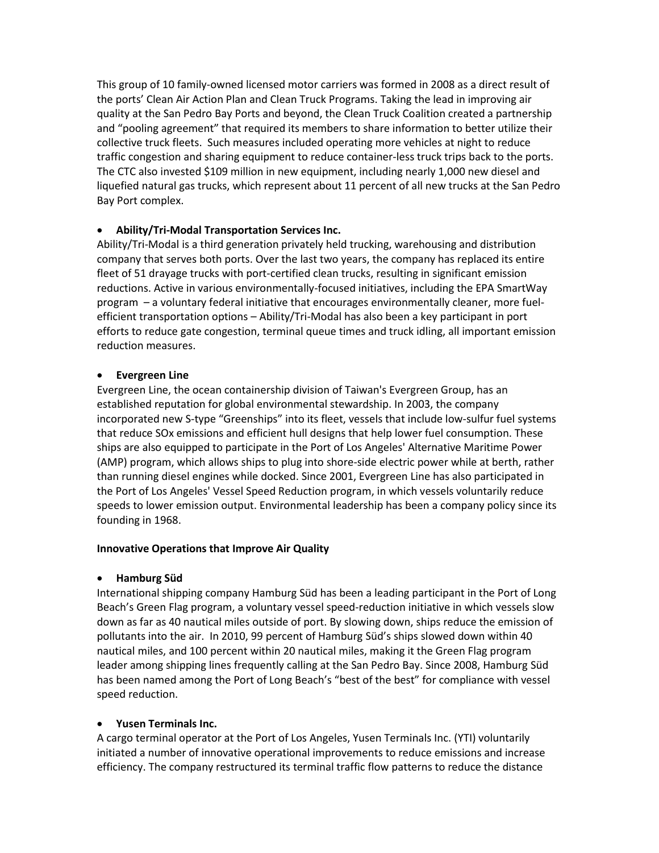This group of 10 family-owned licensed motor carriers was formed in 2008 as a direct result of the ports' Clean Air Action Plan and Clean Truck Programs. Taking the lead in improving air quality at the San Pedro Bay Ports and beyond, the Clean Truck Coalition created a partnership and "pooling agreement" that required its members to share information to better utilize their collective truck fleets. Such measures included operating more vehicles at night to reduce traffic congestion and sharing equipment to reduce container-less truck trips back to the ports. The CTC also invested \$109 million in new equipment, including nearly 1,000 new diesel and liquefied natural gas trucks, which represent about 11 percent of all new trucks at the San Pedro Bay Port complex.

## **Ability/Tri-Modal Transportation Services Inc.**

Ability/Tri-Modal is a third generation privately held trucking, warehousing and distribution company that serves both ports. Over the last two years, the company has replaced its entire fleet of 51 drayage trucks with port-certified clean trucks, resulting in significant emission reductions. Active in various environmentally-focused initiatives, including the EPA SmartWay program – a voluntary federal initiative that encourages environmentally cleaner, more fuelefficient transportation options – Ability/Tri-Modal has also been a key participant in port efforts to reduce gate congestion, terminal queue times and truck idling, all important emission reduction measures.

#### **Evergreen Line**

Evergreen Line, the ocean containership division of Taiwan's Evergreen Group, has an established reputation for global environmental stewardship. In 2003, the company incorporated new S-type "Greenships" into its fleet, vessels that include low-sulfur fuel systems that reduce SOx emissions and efficient hull designs that help lower fuel consumption. These ships are also equipped to participate in the Port of Los Angeles' Alternative Maritime Power (AMP) program, which allows ships to plug into shore-side electric power while at berth, rather than running diesel engines while docked. Since 2001, Evergreen Line has also participated in the Port of Los Angeles' Vessel Speed Reduction program, in which vessels voluntarily reduce speeds to lower emission output. Environmental leadership has been a company policy since its founding in 1968.

## **Innovative Operations that Improve Air Quality**

## **Hamburg Süd**

International shipping company Hamburg Süd has been a leading participant in the Port of Long Beach's Green Flag program, a voluntary vessel speed-reduction initiative in which vessels slow down as far as 40 nautical miles outside of port. By slowing down, ships reduce the emission of pollutants into the air. In 2010, 99 percent of Hamburg Süd's ships slowed down within 40 nautical miles, and 100 percent within 20 nautical miles, making it the Green Flag program leader among shipping lines frequently calling at the San Pedro Bay. Since 2008, Hamburg Süd has been named among the Port of Long Beach's "best of the best" for compliance with vessel speed reduction.

## **Yusen Terminals Inc.**

A cargo terminal operator at the Port of Los Angeles, Yusen Terminals Inc. (YTI) voluntarily initiated a number of innovative operational improvements to reduce emissions and increase efficiency. The company restructured its terminal traffic flow patterns to reduce the distance